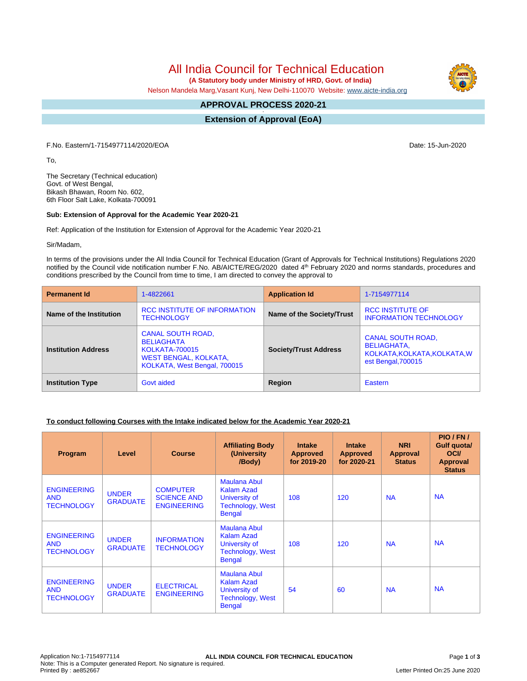All India Council for Technical Education

 **(A Statutory body under Ministry of HRD, Govt. of India)**

Nelson Mandela Marg,Vasant Kunj, New Delhi-110070 Website: [www.aicte-india.org](http://www.aicte-india.org)

## **APPROVAL PROCESS 2020-21**

**- Extension of Approval (EoA)**

F.No. Eastern/1-7154977114/2020/EOA Date: 15-Jun-2020

To,

The Secretary (Technical education) Govt. of West Bengal, Bikash Bhawan, Room No. 602, 6th Floor Salt Lake, Kolkata-700091

#### **Sub: Extension of Approval for the Academic Year 2020-21**

Ref: Application of the Institution for Extension of Approval for the Academic Year 2020-21

Sir/Madam,

In terms of the provisions under the All India Council for Technical Education (Grant of Approvals for Technical Institutions) Regulations 2020 notified by the Council vide notification number F.No. AB/AICTE/REG/2020 dated 4<sup>th</sup> February 2020 and norms standards, procedures and conditions prescribed by the Council from time to time, I am directed to convey the approval to

| <b>Permanent Id</b>        | 1-4822661                                                                                                                       | <b>Application Id</b>        |                                                                                                      |  |
|----------------------------|---------------------------------------------------------------------------------------------------------------------------------|------------------------------|------------------------------------------------------------------------------------------------------|--|
| Name of the Institution    | RCC INSTITUTE OF INFORMATION<br><b>TECHNOLOGY</b>                                                                               | Name of the Society/Trust    | <b>RCC INSTITUTE OF</b><br><b>INFORMATION TECHNOLOGY</b>                                             |  |
| <b>Institution Address</b> | <b>CANAL SOUTH ROAD,</b><br><b>BELIAGHATA</b><br><b>KOLKATA-700015</b><br>WEST BENGAL, KOLKATA,<br>KOLKATA, West Bengal, 700015 | <b>Society/Trust Address</b> | <b>CANAL SOUTH ROAD,</b><br><b>BELIAGHATA,</b><br>KOLKATA, KOLKATA, KOLKATA, W<br>est Bengal, 700015 |  |
| <b>Institution Type</b>    | Govt aided                                                                                                                      |                              | Eastern                                                                                              |  |

### **To conduct following Courses with the Intake indicated below for the Academic Year 2020-21**

| Program                                               | Level                           | <b>Course</b>                                               | <b>Affiliating Body</b><br>(University<br>/Body)                                                      | <b>Intake</b><br><b>Approved</b><br>for 2019-20 | <b>Intake</b><br><b>Approved</b><br>for 2020-21 | <b>NRI</b><br>Approval<br><b>Status</b> | PIO/FN/<br>Gulf quota/<br><b>OCI</b><br><b>Approval</b><br><b>Status</b> |
|-------------------------------------------------------|---------------------------------|-------------------------------------------------------------|-------------------------------------------------------------------------------------------------------|-------------------------------------------------|-------------------------------------------------|-----------------------------------------|--------------------------------------------------------------------------|
| <b>ENGINEERING</b><br><b>AND</b><br><b>TECHNOLOGY</b> | <b>UNDER</b><br><b>GRADUATE</b> | <b>COMPUTER</b><br><b>SCIENCE AND</b><br><b>ENGINEERING</b> | <b>Maulana Abul</b><br><b>Kalam Azad</b><br>University of<br><b>Technology, West</b><br><b>Bengal</b> | 108                                             | 120                                             | <b>NA</b>                               | <b>NA</b>                                                                |
| <b>ENGINEERING</b><br><b>AND</b><br><b>TECHNOLOGY</b> | <b>UNDER</b><br><b>GRADUATE</b> | <b>INFORMATION</b><br><b>TECHNOLOGY</b>                     | Maulana Abul<br><b>Kalam Azad</b><br>University of<br><b>Technology, West</b><br><b>Bengal</b>        | 108                                             | 120                                             | <b>NA</b>                               | <b>NA</b>                                                                |
| <b>ENGINEERING</b><br><b>AND</b><br><b>TECHNOLOGY</b> | <b>UNDER</b><br><b>GRADUATE</b> | <b>ELECTRICAL</b><br><b>ENGINEERING</b>                     | <b>Maulana Abul</b><br><b>Kalam Azad</b><br>University of<br><b>Technology, West</b><br><b>Bengal</b> | 54                                              | 60                                              | <b>NA</b>                               | <b>NA</b>                                                                |

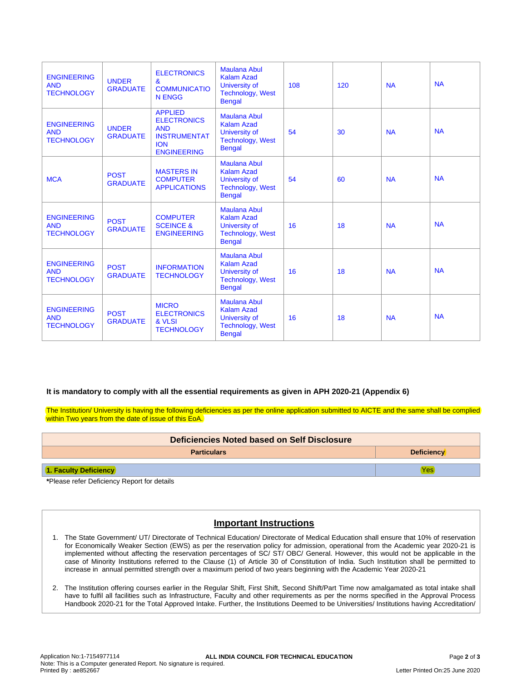| <b>ENGINEERING</b><br><b>AND</b><br><b>TECHNOLOGY</b> | <b>UNDER</b><br><b>GRADUATE</b> | <b>ELECTRONICS</b><br>&<br><b>COMMUNICATIO</b><br><b>N ENGG</b>                                               | <b>Maulana Abul</b><br><b>Kalam Azad</b><br>University of<br><b>Technology, West</b><br><b>Bengal</b> | 108 | 120 | <b>NA</b> | <b>NA</b> |
|-------------------------------------------------------|---------------------------------|---------------------------------------------------------------------------------------------------------------|-------------------------------------------------------------------------------------------------------|-----|-----|-----------|-----------|
| <b>ENGINEERING</b><br><b>AND</b><br><b>TECHNOLOGY</b> | <b>UNDER</b><br><b>GRADUATE</b> | <b>APPLIED</b><br><b>ELECTRONICS</b><br><b>AND</b><br><b>INSTRUMENTAT</b><br><b>ION</b><br><b>ENGINEERING</b> | <b>Maulana Abul</b><br><b>Kalam Azad</b><br>University of<br><b>Technology, West</b><br><b>Bengal</b> | 54  | 30  | <b>NA</b> | <b>NA</b> |
| <b>MCA</b>                                            | <b>POST</b><br><b>GRADUATE</b>  | <b>MASTERS IN</b><br><b>COMPUTER</b><br><b>APPLICATIONS</b>                                                   | <b>Maulana Abul</b><br><b>Kalam Azad</b><br>University of<br><b>Technology, West</b><br><b>Bengal</b> | 54  | 60  | <b>NA</b> | <b>NA</b> |
| <b>ENGINEERING</b><br><b>AND</b><br><b>TECHNOLOGY</b> | <b>POST</b><br><b>GRADUATE</b>  | <b>COMPUTER</b><br><b>SCEINCE &amp;</b><br><b>ENGINEERING</b>                                                 | <b>Maulana Abul</b><br><b>Kalam Azad</b><br>University of<br><b>Technology, West</b><br><b>Bengal</b> | 16  | 18  | <b>NA</b> | <b>NA</b> |
| <b>ENGINEERING</b><br><b>AND</b><br><b>TECHNOLOGY</b> | <b>POST</b><br><b>GRADUATE</b>  | <b>INFORMATION</b><br><b>TECHNOLOGY</b>                                                                       | <b>Maulana Abul</b><br><b>Kalam Azad</b><br>University of<br><b>Technology, West</b><br><b>Bengal</b> | 16  | 18  | <b>NA</b> | <b>NA</b> |
| <b>ENGINEERING</b><br><b>AND</b><br><b>TECHNOLOGY</b> | <b>POST</b><br><b>GRADUATE</b>  | <b>MICRO</b><br><b>ELECTRONICS</b><br>& VLSI<br><b>TECHNOLOGY</b>                                             | <b>Maulana Abul</b><br><b>Kalam Azad</b><br>University of<br><b>Technology, West</b><br><b>Bengal</b> | 16  | 18  | <b>NA</b> | <b>NA</b> |

### **It is mandatory to comply with all the essential requirements as given in APH 2020-21 (Appendix 6)**

The Institution/ University is having the following deficiencies as per the online application submitted to AICTE and the same shall be complied within Two years from the date of issue of this EoA.

| Deficiencies Noted based on Self Disclosure |                   |  |  |
|---------------------------------------------|-------------------|--|--|
| <b>Particulars</b>                          | <b>Deficiency</b> |  |  |
| <b>1. Faculty Deficiency</b>                | Yesl              |  |  |

**\***Please refer Deficiency Report for details

# **Important Instructions**

- 1. The State Government/ UT/ Directorate of Technical Education/ Directorate of Medical Education shall ensure that 10% of reservation for Economically Weaker Section (EWS) as per the reservation policy for admission, operational from the Academic year 2020-21 is implemented without affecting the reservation percentages of SC/ ST/ OBC/ General. However, this would not be applicable in the case of Minority Institutions referred to the Clause (1) of Article 30 of Constitution of India. Such Institution shall be permitted to increase in annual permitted strength over a maximum period of two years beginning with the Academic Year 2020-21
- 2. The Institution offering courses earlier in the Regular Shift, First Shift, Second Shift/Part Time now amalgamated as total intake shall have to fulfil all facilities such as Infrastructure, Faculty and other requirements as per the norms specified in the Approval Process Handbook 2020-21 for the Total Approved Intake. Further, the Institutions Deemed to be Universities/ Institutions having Accreditation/